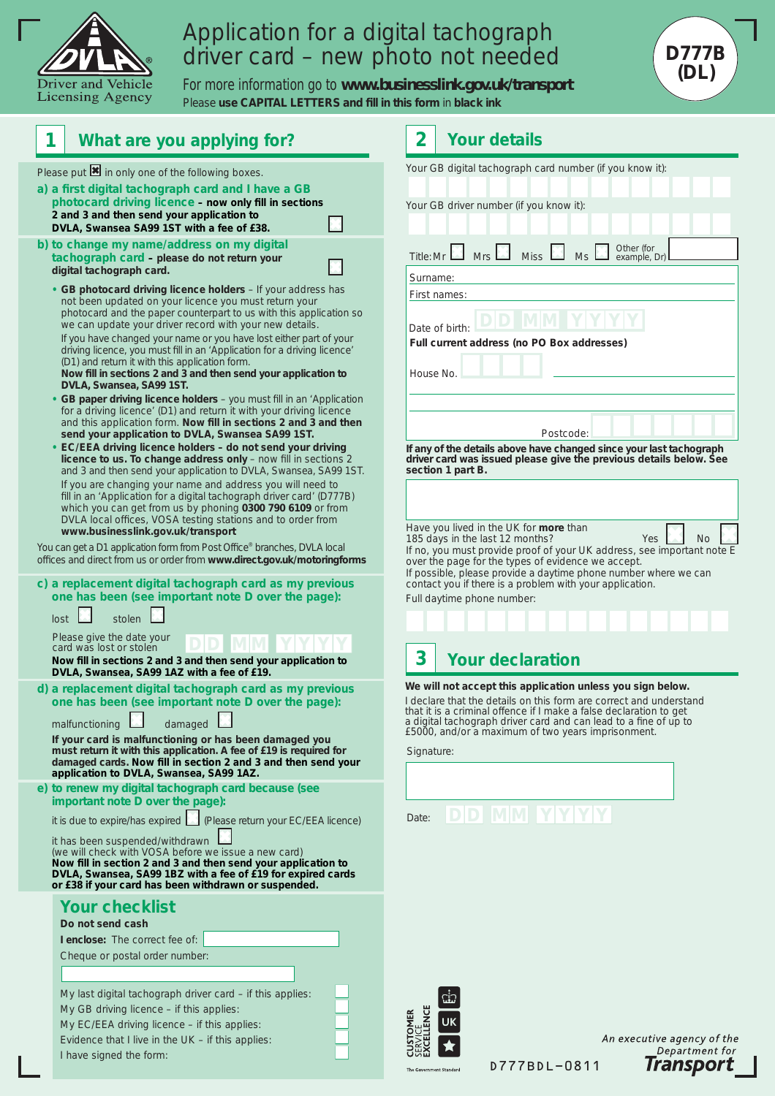

## Application for a digital tachograph driver card – new photo not needed

**D777 D777B (DL)** 

For more information go to **www.businesslink.gov.uk/transport**  Please use CAPITAL LETTERS and fill in this form in black ink



D777BDL-0811

Transport